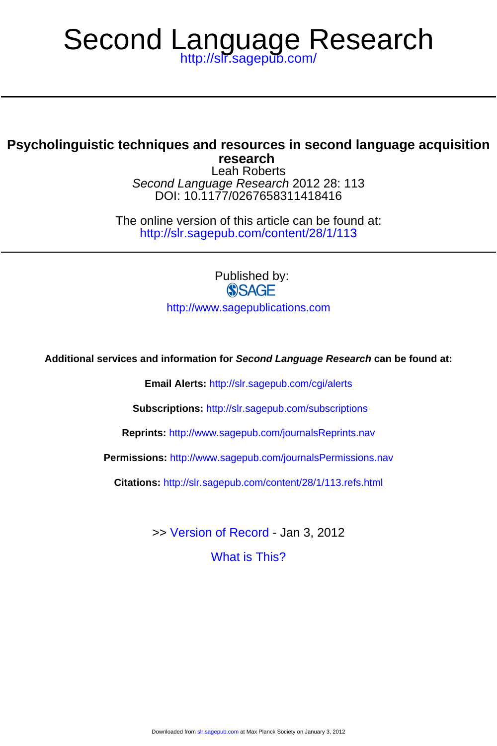# <http://slr.sagepub.com/> Second Language Research

## **research Psycholinguistic techniques and resources in second language acquisition**

DOI: 10.1177/0267658311418416 Second Language Research 2012 28: 113 Leah Roberts

<http://slr.sagepub.com/content/28/1/113> The online version of this article can be found at:

> Published by: **SSAGE**

<http://www.sagepublications.com>

**Additional services and information for Second Language Research can be found at:**

**Email Alerts:** <http://slr.sagepub.com/cgi/alerts>

**Subscriptions:** <http://slr.sagepub.com/subscriptions>

**Reprints:** <http://www.sagepub.com/journalsReprints.nav>

**Permissions:** <http://www.sagepub.com/journalsPermissions.nav>

**Citations:** <http://slr.sagepub.com/content/28/1/113.refs.html>

>> [Version of Record -](http://slr.sagepub.com/content/28/1/113.full.pdf) Jan 3, 2012

[What is This?](http://online.sagepub.com/site/sphelp/vorhelp.xhtml)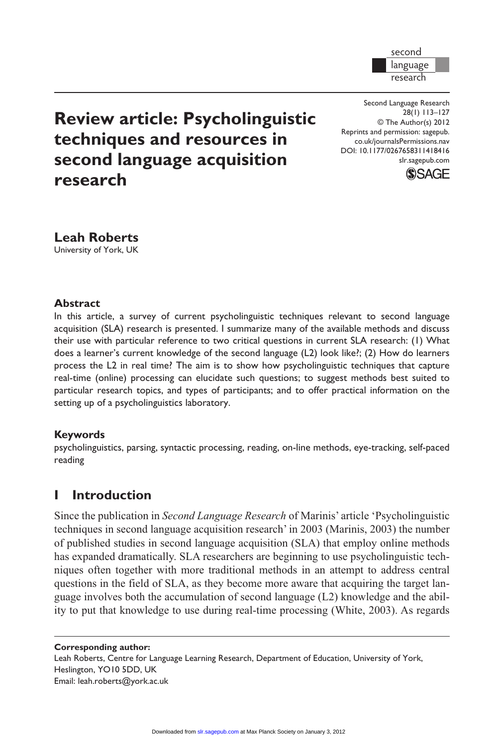

**Review article: Psycholinguistic techniques and resources in second language acquisition research**

Second Language Research 28(1) 113–127 © The Author(s) 2012 Reprints and permission: sagepub. co.uk/journalsPermissions.nav DOI: 10.1177/0267658311418416 slr.sagepub.com



**Leah Roberts** University of York, UK

#### **Abstract**

In this article, a survey of current psycholinguistic techniques relevant to second language acquisition (SLA) research is presented. I summarize many of the available methods and discuss their use with particular reference to two critical questions in current SLA research: (1) What does a learner's current knowledge of the second language (L2) look like?; (2) How do learners process the L2 in real time? The aim is to show how psycholinguistic techniques that capture real-time (online) processing can elucidate such questions; to suggest methods best suited to particular research topics, and types of participants; and to offer practical information on the setting up of a psycholinguistics laboratory.

#### **Keywords**

psycholinguistics, parsing, syntactic processing, reading, on-line methods, eye-tracking, self-paced reading

# **I Introduction**

Since the publication in *Second Language Research* of Marinis' article 'Psycholinguistic techniques in second language acquisition research' in 2003 (Marinis, 2003) the number of published studies in second language acquisition (SLA) that employ online methods has expanded dramatically. SLA researchers are beginning to use psycholinguistic techniques often together with more traditional methods in an attempt to address central questions in the field of SLA, as they become more aware that acquiring the target language involves both the accumulation of second language (L2) knowledge and the ability to put that knowledge to use during real-time processing (White, 2003). As regards

#### **Corresponding author:**

Leah Roberts, Centre for Language Learning Research, Department of Education, University of York, Heslington, YO10 5DD, UK Email: leah.roberts@york.ac.uk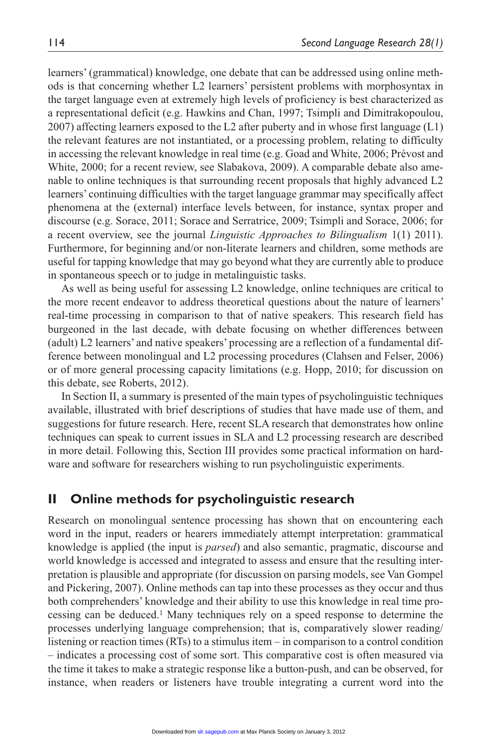learners' (grammatical) knowledge, one debate that can be addressed using online methods is that concerning whether L2 learners' persistent problems with morphosyntax in the target language even at extremely high levels of proficiency is best characterized as a representational deficit (e.g. Hawkins and Chan, 1997; Tsimpli and Dimitrakopoulou, 2007) affecting learners exposed to the L2 after puberty and in whose first language (L1) the relevant features are not instantiated, or a processing problem, relating to difficulty in accessing the relevant knowledge in real time (e.g. Goad and White, 2006; Prévost and White, 2000; for a recent review, see Slabakova, 2009). A comparable debate also amenable to online techniques is that surrounding recent proposals that highly advanced L2 learners' continuing difficulties with the target language grammar may specifically affect phenomena at the (external) interface levels between, for instance, syntax proper and discourse (e.g. Sorace, 2011; Sorace and Serratrice, 2009; Tsimpli and Sorace, 2006; for a recent overview, see the journal *Linguistic Approaches to Bilingualism* 1(1) 2011). Furthermore, for beginning and/or non-literate learners and children, some methods are useful for tapping knowledge that may go beyond what they are currently able to produce in spontaneous speech or to judge in metalinguistic tasks.

As well as being useful for assessing L2 knowledge, online techniques are critical to the more recent endeavor to address theoretical questions about the nature of learners' real-time processing in comparison to that of native speakers. This research field has burgeoned in the last decade, with debate focusing on whether differences between (adult) L2 learners' and native speakers' processing are a reflection of a fundamental difference between monolingual and L2 processing procedures (Clahsen and Felser, 2006) or of more general processing capacity limitations (e.g. Hopp, 2010; for discussion on this debate, see Roberts, 2012).

In Section II, a summary is presented of the main types of psycholinguistic techniques available, illustrated with brief descriptions of studies that have made use of them, and suggestions for future research. Here, recent SLA research that demonstrates how online techniques can speak to current issues in SLA and L2 processing research are described in more detail. Following this, Section III provides some practical information on hardware and software for researchers wishing to run psycholinguistic experiments.

## **II Online methods for psycholinguistic research**

Research on monolingual sentence processing has shown that on encountering each word in the input, readers or hearers immediately attempt interpretation: grammatical knowledge is applied (the input is *parsed*) and also semantic, pragmatic, discourse and world knowledge is accessed and integrated to assess and ensure that the resulting interpretation is plausible and appropriate (for discussion on parsing models, see Van Gompel and Pickering, 2007). Online methods can tap into these processes as they occur and thus both comprehenders' knowledge and their ability to use this knowledge in real time processing can be deduced.1 Many techniques rely on a speed response to determine the processes underlying language comprehension; that is, comparatively slower reading/ listening or reaction times (RTs) to a stimulus item – in comparison to a control condition – indicates a processing cost of some sort. This comparative cost is often measured via the time it takes to make a strategic response like a button-push, and can be observed, for instance, when readers or listeners have trouble integrating a current word into the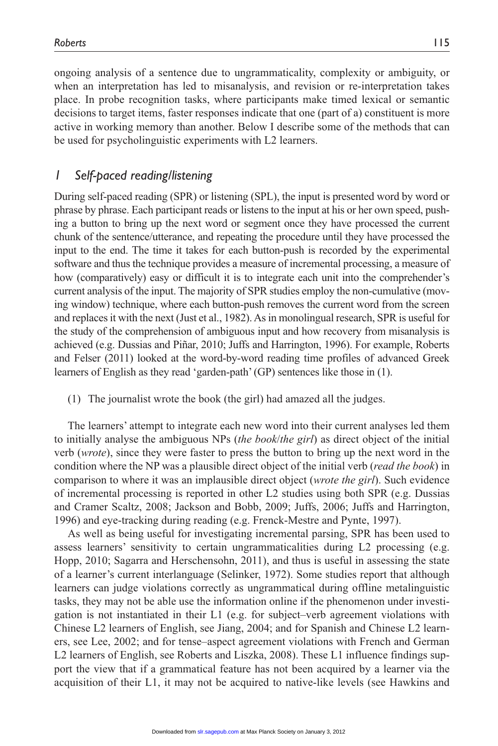ongoing analysis of a sentence due to ungrammaticality, complexity or ambiguity, or when an interpretation has led to misanalysis, and revision or re-interpretation takes place. In probe recognition tasks, where participants make timed lexical or semantic decisions to target items, faster responses indicate that one (part of a) constituent is more active in working memory than another. Below I describe some of the methods that can be used for psycholinguistic experiments with L2 learners.

## *1 Self-paced reading/listening*

During self-paced reading (SPR) or listening (SPL), the input is presented word by word or phrase by phrase. Each participant reads or listens to the input at his or her own speed, pushing a button to bring up the next word or segment once they have processed the current chunk of the sentence/utterance, and repeating the procedure until they have processed the input to the end. The time it takes for each button-push is recorded by the experimental software and thus the technique provides a measure of incremental processing, a measure of how (comparatively) easy or difficult it is to integrate each unit into the comprehender's current analysis of the input. The majority of SPR studies employ the non-cumulative (moving window) technique, where each button-push removes the current word from the screen and replaces it with the next (Just et al., 1982). As in monolingual research, SPR is useful for the study of the comprehension of ambiguous input and how recovery from misanalysis is achieved (e.g. Dussias and Piñar, 2010; Juffs and Harrington, 1996). For example, Roberts and Felser (2011) looked at the word-by-word reading time profiles of advanced Greek learners of English as they read 'garden-path' (GP) sentences like those in (1).

(1) The journalist wrote the book (the girl) had amazed all the judges.

The learners' attempt to integrate each new word into their current analyses led them to initially analyse the ambiguous NPs (*the book*/*the girl*) as direct object of the initial verb (*wrote*), since they were faster to press the button to bring up the next word in the condition where the NP was a plausible direct object of the initial verb (*read the book*) in comparison to where it was an implausible direct object (*wrote the girl*). Such evidence of incremental processing is reported in other L2 studies using both SPR (e.g. Dussias and Cramer Scaltz, 2008; Jackson and Bobb, 2009; Juffs, 2006; Juffs and Harrington, 1996) and eye-tracking during reading (e.g. Frenck-Mestre and Pynte, 1997).

As well as being useful for investigating incremental parsing, SPR has been used to assess learners' sensitivity to certain ungrammaticalities during L2 processing (e.g. Hopp, 2010; Sagarra and Herschensohn, 2011), and thus is useful in assessing the state of a learner's current interlanguage (Selinker, 1972). Some studies report that although learners can judge violations correctly as ungrammatical during offline metalinguistic tasks, they may not be able use the information online if the phenomenon under investigation is not instantiated in their L1 (e.g. for subject–verb agreement violations with Chinese L2 learners of English, see Jiang, 2004; and for Spanish and Chinese L2 learners, see Lee, 2002; and for tense–aspect agreement violations with French and German L2 learners of English, see Roberts and Liszka, 2008). These L1 influence findings support the view that if a grammatical feature has not been acquired by a learner via the acquisition of their L1, it may not be acquired to native-like levels (see Hawkins and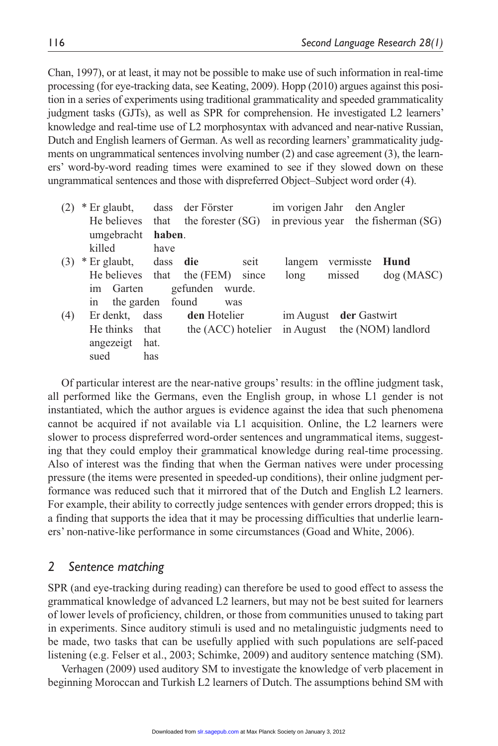Chan, 1997), or at least, it may not be possible to make use of such information in real-time processing (for eye-tracking data, see Keating, 2009). Hopp (2010) argues against this position in a series of experiments using traditional grammaticality and speeded grammaticality judgment tasks (GJTs), as well as SPR for comprehension. He investigated L2 learners' knowledge and real-time use of L2 morphosyntax with advanced and near-native Russian, Dutch and English learners of German. As well as recording learners' grammaticality judgments on ungrammatical sentences involving number (2) and case agreement (3), the learners' word-by-word reading times were examined to see if they slowed down on these ungrammatical sentences and those with dispreferred Object–Subject word order (4).

| (2) | * Er glaubt,                     |      | dass der Förster<br>He believes that the forester (SG) |      |           |                        | im vorigen Jahr den Angler<br>in previous year the fisherman (SG) |  |
|-----|----------------------------------|------|--------------------------------------------------------|------|-----------|------------------------|-------------------------------------------------------------------|--|
|     | umgebracht                       |      | haben.                                                 |      |           |                        |                                                                   |  |
|     | killed                           | have |                                                        |      |           |                        |                                                                   |  |
| (3) | * Er glaubt, dass <b>die</b>     |      |                                                        | seit | langem    | vermisste              | Hund                                                              |  |
|     | He believes that the (FEM) since |      |                                                        |      | long      | missed                 | dog(MASC)                                                         |  |
|     | im Garten                        |      | gefunden wurde.                                        |      |           |                        |                                                                   |  |
|     | in the garden found              |      | was                                                    |      |           |                        |                                                                   |  |
| (4) | Er denkt, dass                   |      | den Hotelier                                           |      |           | im August der Gastwirt |                                                                   |  |
|     | He thinks                        | that | the (ACC) hotelier                                     |      | in August |                        | the (NOM) landlord                                                |  |
|     | angezeigt                        | hat. |                                                        |      |           |                        |                                                                   |  |
|     | sued                             | has  |                                                        |      |           |                        |                                                                   |  |

Of particular interest are the near-native groups' results: in the offline judgment task, all performed like the Germans, even the English group, in whose L1 gender is not instantiated, which the author argues is evidence against the idea that such phenomena cannot be acquired if not available via L1 acquisition. Online, the L2 learners were slower to process dispreferred word-order sentences and ungrammatical items, suggesting that they could employ their grammatical knowledge during real-time processing. Also of interest was the finding that when the German natives were under processing pressure (the items were presented in speeded-up conditions), their online judgment performance was reduced such that it mirrored that of the Dutch and English L2 learners. For example, their ability to correctly judge sentences with gender errors dropped; this is a finding that supports the idea that it may be processing difficulties that underlie learners' non-native-like performance in some circumstances (Goad and White, 2006).

#### *2 Sentence matching*

SPR (and eye-tracking during reading) can therefore be used to good effect to assess the grammatical knowledge of advanced L2 learners, but may not be best suited for learners of lower levels of proficiency, children, or those from communities unused to taking part in experiments. Since auditory stimuli is used and no metalinguistic judgments need to be made, two tasks that can be usefully applied with such populations are self-paced listening (e.g. Felser et al., 2003; Schimke, 2009) and auditory sentence matching (SM).

Verhagen (2009) used auditory SM to investigate the knowledge of verb placement in beginning Moroccan and Turkish L2 learners of Dutch. The assumptions behind SM with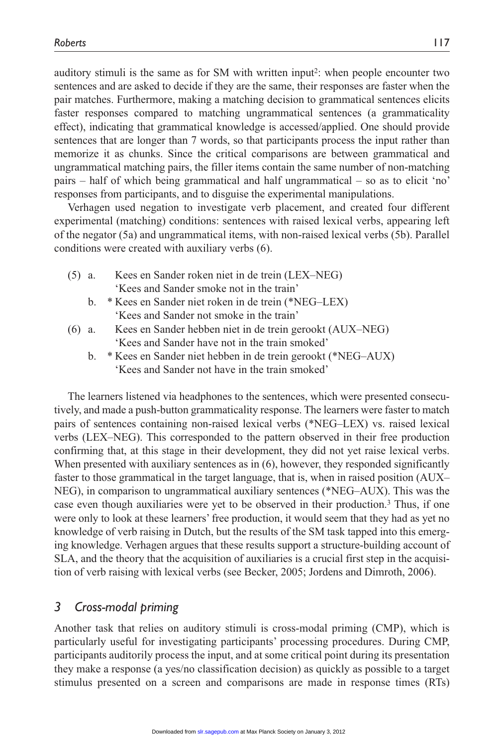auditory stimuli is the same as for SM with written input2: when people encounter two sentences and are asked to decide if they are the same, their responses are faster when the pair matches. Furthermore, making a matching decision to grammatical sentences elicits faster responses compared to matching ungrammatical sentences (a grammaticality effect), indicating that grammatical knowledge is accessed/applied. One should provide sentences that are longer than 7 words, so that participants process the input rather than memorize it as chunks. Since the critical comparisons are between grammatical and ungrammatical matching pairs, the filler items contain the same number of non-matching pairs – half of which being grammatical and half ungrammatical – so as to elicit 'no' responses from participants, and to disguise the experimental manipulations.

Verhagen used negation to investigate verb placement, and created four different experimental (matching) conditions: sentences with raised lexical verbs, appearing left of the negator (5a) and ungrammatical items, with non-raised lexical verbs (5b). Parallel conditions were created with auxiliary verbs (6).

- (5) a. Kees en Sander roken niet in de trein (LEX–NEG) 'Kees and Sander smoke not in the train'
	- b. \* Kees en Sander niet roken in de trein (\*NEG–LEX) 'Kees and Sander not smoke in the train'
- (6) a. Kees en Sander hebben niet in de trein gerookt (AUX–NEG) 'Kees and Sander have not in the train smoked'
	- b. \* Kees en Sander niet hebben in de trein gerookt (\*NEG–AUX) 'Kees and Sander not have in the train smoked'

The learners listened via headphones to the sentences, which were presented consecutively, and made a push-button grammaticality response. The learners were faster to match pairs of sentences containing non-raised lexical verbs (\*NEG–LEX) vs. raised lexical verbs (LEX–NEG). This corresponded to the pattern observed in their free production confirming that, at this stage in their development, they did not yet raise lexical verbs. When presented with auxiliary sentences as in  $(6)$ , however, they responded significantly faster to those grammatical in the target language, that is, when in raised position (AUX– NEG), in comparison to ungrammatical auxiliary sentences (\*NEG–AUX). This was the case even though auxiliaries were yet to be observed in their production.3 Thus, if one were only to look at these learners' free production, it would seem that they had as yet no knowledge of verb raising in Dutch, but the results of the SM task tapped into this emerging knowledge. Verhagen argues that these results support a structure-building account of SLA, and the theory that the acquisition of auxiliaries is a crucial first step in the acquisition of verb raising with lexical verbs (see Becker, 2005; Jordens and Dimroth, 2006).

## *3 Cross-modal priming*

Another task that relies on auditory stimuli is cross-modal priming (CMP), which is particularly useful for investigating participants' processing procedures. During CMP, participants auditorily process the input, and at some critical point during its presentation they make a response (a yes/no classification decision) as quickly as possible to a target stimulus presented on a screen and comparisons are made in response times (RTs)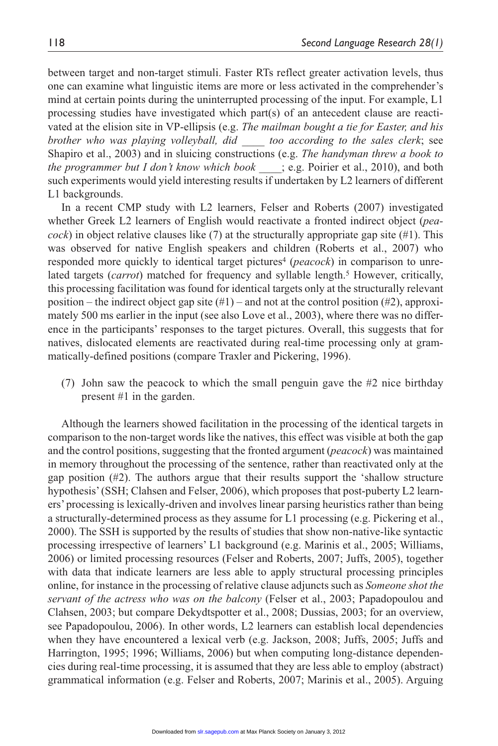between target and non-target stimuli. Faster RTs reflect greater activation levels, thus one can examine what linguistic items are more or less activated in the comprehender's mind at certain points during the uninterrupted processing of the input. For example, L1 processing studies have investigated which part(s) of an antecedent clause are reactivated at the elision site in VP-ellipsis (e.g. *The mailman bought a tie for Easter, and his brother who was playing volleyball, did \_\_\_\_ too according to the sales clerk*; see Shapiro et al., 2003) and in sluicing constructions (e.g. *The handyman threw a book to the programmer but I don't know which book* ; e.g. Poirier et al., 2010), and both such experiments would yield interesting results if undertaken by L2 learners of different L1 backgrounds.

In a recent CMP study with L2 learners, Felser and Roberts (2007) investigated whether Greek L2 learners of English would reactivate a fronted indirect object (*pea* $cock)$  in object relative clauses like  $(7)$  at the structurally appropriate gap site  $(41)$ . This was observed for native English speakers and children (Roberts et al., 2007) who responded more quickly to identical target pictures<sup>4</sup> (*peacock*) in comparison to unrelated targets (*carrot*) matched for frequency and syllable length.5 However, critically, this processing facilitation was found for identical targets only at the structurally relevant position – the indirect object gap site  $(\#1)$  – and not at the control position  $(\#2)$ , approximately 500 ms earlier in the input (see also Love et al., 2003), where there was no difference in the participants' responses to the target pictures. Overall, this suggests that for natives, dislocated elements are reactivated during real-time processing only at grammatically-defined positions (compare Traxler and Pickering, 1996).

(7) John saw the peacock to which the small penguin gave the #2 nice birthday present #1 in the garden.

Although the learners showed facilitation in the processing of the identical targets in comparison to the non-target words like the natives, this effect was visible at both the gap and the control positions, suggesting that the fronted argument (*peacock*) was maintained in memory throughout the processing of the sentence, rather than reactivated only at the gap position (#2). The authors argue that their results support the 'shallow structure hypothesis' (SSH; Clahsen and Felser, 2006), which proposes that post-puberty L2 learners' processing is lexically-driven and involves linear parsing heuristics rather than being a structurally-determined process as they assume for L1 processing (e.g. Pickering et al., 2000). The SSH is supported by the results of studies that show non-native-like syntactic processing irrespective of learners' L1 background (e.g. Marinis et al., 2005; Williams, 2006) or limited processing resources (Felser and Roberts, 2007; Juffs, 2005), together with data that indicate learners are less able to apply structural processing principles online, for instance in the processing of relative clause adjuncts such as *Someone shot the servant of the actress who was on the balcony* (Felser et al., 2003; Papadopoulou and Clahsen, 2003; but compare Dekydtspotter et al., 2008; Dussias, 2003; for an overview, see Papadopoulou, 2006). In other words, L2 learners can establish local dependencies when they have encountered a lexical verb (e.g. Jackson, 2008; Juffs, 2005; Juffs and Harrington, 1995; 1996; Williams, 2006) but when computing long-distance dependencies during real-time processing, it is assumed that they are less able to employ (abstract) grammatical information (e.g. Felser and Roberts, 2007; Marinis et al., 2005). Arguing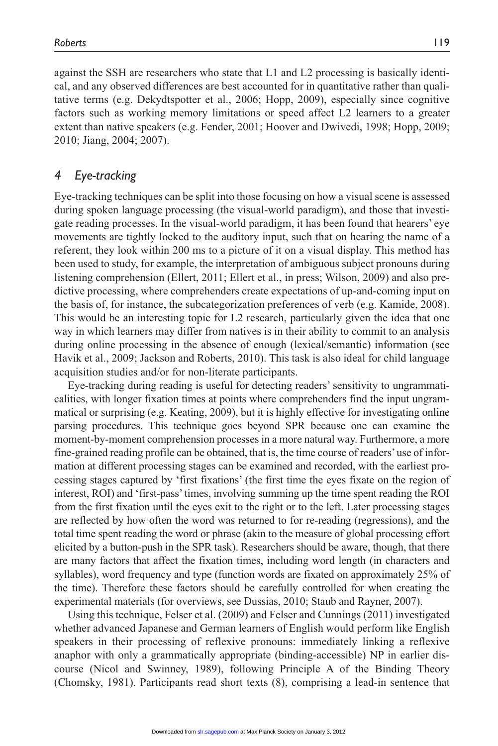against the SSH are researchers who state that L1 and L2 processing is basically identical, and any observed differences are best accounted for in quantitative rather than quali-

tative terms (e.g. Dekydtspotter et al., 2006; Hopp, 2009), especially since cognitive factors such as working memory limitations or speed affect L2 learners to a greater extent than native speakers (e.g. Fender, 2001; Hoover and Dwivedi, 1998; Hopp, 2009; 2010; Jiang, 2004; 2007).

# *4 Eye-tracking*

Eye-tracking techniques can be split into those focusing on how a visual scene is assessed during spoken language processing (the visual-world paradigm), and those that investigate reading processes. In the visual-world paradigm, it has been found that hearers' eye movements are tightly locked to the auditory input, such that on hearing the name of a referent, they look within 200 ms to a picture of it on a visual display. This method has been used to study, for example, the interpretation of ambiguous subject pronouns during listening comprehension (Ellert, 2011; Ellert et al., in press; Wilson, 2009) and also predictive processing, where comprehenders create expectations of up-and-coming input on the basis of, for instance, the subcategorization preferences of verb (e.g. Kamide, 2008). This would be an interesting topic for L2 research, particularly given the idea that one way in which learners may differ from natives is in their ability to commit to an analysis during online processing in the absence of enough (lexical/semantic) information (see Havik et al., 2009; Jackson and Roberts, 2010). This task is also ideal for child language acquisition studies and/or for non-literate participants.

Eye-tracking during reading is useful for detecting readers' sensitivity to ungrammaticalities, with longer fixation times at points where comprehenders find the input ungrammatical or surprising (e.g. Keating, 2009), but it is highly effective for investigating online parsing procedures. This technique goes beyond SPR because one can examine the moment-by-moment comprehension processes in a more natural way. Furthermore, a more fine-grained reading profile can be obtained, that is, the time course of readers' use of information at different processing stages can be examined and recorded, with the earliest processing stages captured by 'first fixations' (the first time the eyes fixate on the region of interest, ROI) and 'first-pass' times, involving summing up the time spent reading the ROI from the first fixation until the eyes exit to the right or to the left. Later processing stages are reflected by how often the word was returned to for re-reading (regressions), and the total time spent reading the word or phrase (akin to the measure of global processing effort elicited by a button-push in the SPR task). Researchers should be aware, though, that there are many factors that affect the fixation times, including word length (in characters and syllables), word frequency and type (function words are fixated on approximately 25% of the time). Therefore these factors should be carefully controlled for when creating the experimental materials (for overviews, see Dussias, 2010; Staub and Rayner, 2007).

Using this technique, Felser et al. (2009) and Felser and Cunnings (2011) investigated whether advanced Japanese and German learners of English would perform like English speakers in their processing of reflexive pronouns: immediately linking a reflexive anaphor with only a grammatically appropriate (binding-accessible) NP in earlier discourse (Nicol and Swinney, 1989), following Principle A of the Binding Theory (Chomsky, 1981). Participants read short texts (8), comprising a lead-in sentence that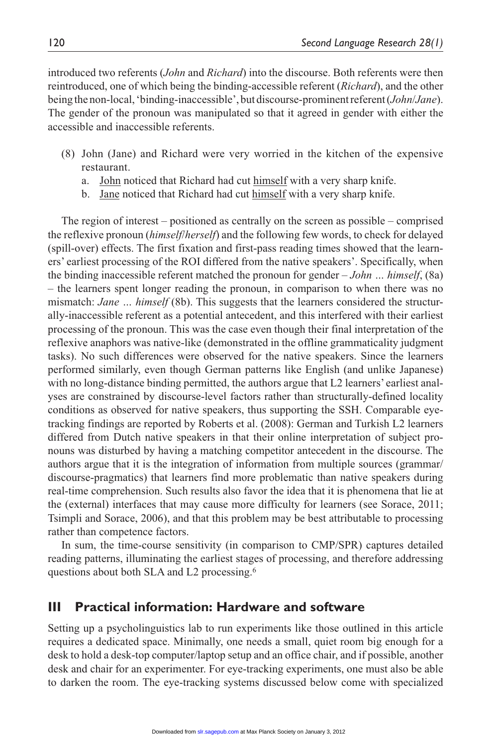introduced two referents (*John* and *Richard*) into the discourse. Both referents were then reintroduced, one of which being the binding-accessible referent (*Richard*), and the other being the non-local, 'binding-inaccessible', but discourse-prominent referent (*John*/*Jane*). The gender of the pronoun was manipulated so that it agreed in gender with either the accessible and inaccessible referents.

- (8) John (Jane) and Richard were very worried in the kitchen of the expensive restaurant.
	- a. John noticed that Richard had cut himself with a very sharp knife.
	- b. Jane noticed that Richard had cut himself with a very sharp knife.

The region of interest – positioned as centrally on the screen as possible – comprised the reflexive pronoun (*himself*/*herself*) and the following few words, to check for delayed (spill-over) effects. The first fixation and first-pass reading times showed that the learners' earliest processing of the ROI differed from the native speakers'. Specifically, when the binding inaccessible referent matched the pronoun for gender – *John … himself*, (8a) – the learners spent longer reading the pronoun, in comparison to when there was no mismatch: *Jane … himself* (8b). This suggests that the learners considered the structurally-inaccessible referent as a potential antecedent, and this interfered with their earliest processing of the pronoun. This was the case even though their final interpretation of the reflexive anaphors was native-like (demonstrated in the offline grammaticality judgment tasks). No such differences were observed for the native speakers. Since the learners performed similarly, even though German patterns like English (and unlike Japanese) with no long-distance binding permitted, the authors argue that L2 learners' earliest analyses are constrained by discourse-level factors rather than structurally-defined locality conditions as observed for native speakers, thus supporting the SSH. Comparable eyetracking findings are reported by Roberts et al. (2008): German and Turkish L2 learners differed from Dutch native speakers in that their online interpretation of subject pronouns was disturbed by having a matching competitor antecedent in the discourse. The authors argue that it is the integration of information from multiple sources (grammar/ discourse-pragmatics) that learners find more problematic than native speakers during real-time comprehension. Such results also favor the idea that it is phenomena that lie at the (external) interfaces that may cause more difficulty for learners (see Sorace, 2011; Tsimpli and Sorace, 2006), and that this problem may be best attributable to processing rather than competence factors.

In sum, the time-course sensitivity (in comparison to CMP/SPR) captures detailed reading patterns, illuminating the earliest stages of processing, and therefore addressing questions about both SLA and L2 processing.6

#### **III Practical information: Hardware and software**

Setting up a psycholinguistics lab to run experiments like those outlined in this article requires a dedicated space. Minimally, one needs a small, quiet room big enough for a desk to hold a desk-top computer/laptop setup and an office chair, and if possible, another desk and chair for an experimenter. For eye-tracking experiments, one must also be able to darken the room. The eye-tracking systems discussed below come with specialized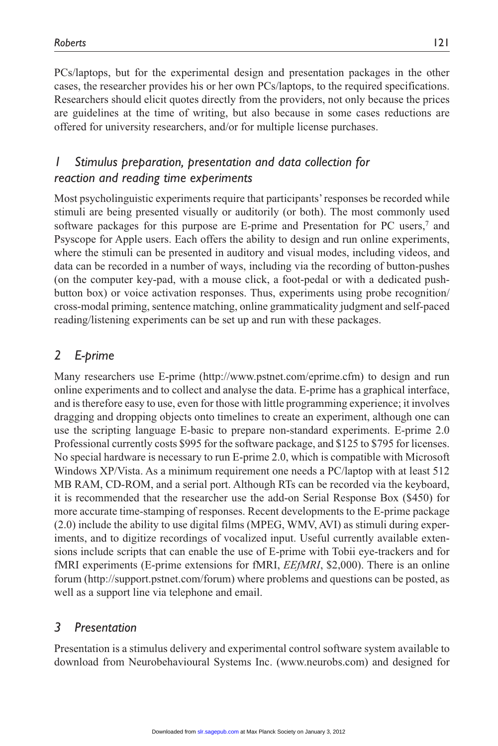PCs/laptops, but for the experimental design and presentation packages in the other cases, the researcher provides his or her own PCs/laptops, to the required specifications. Researchers should elicit quotes directly from the providers, not only because the prices are guidelines at the time of writing, but also because in some cases reductions are offered for university researchers, and/or for multiple license purchases.

# *1 Stimulus preparation, presentation and data collection for reaction and reading time experiments*

Most psycholinguistic experiments require that participants' responses be recorded while stimuli are being presented visually or auditorily (or both). The most commonly used software packages for this purpose are E-prime and Presentation for PC users,7 and Psyscope for Apple users. Each offers the ability to design and run online experiments, where the stimuli can be presented in auditory and visual modes, including videos, and data can be recorded in a number of ways, including via the recording of button-pushes (on the computer key-pad, with a mouse click, a foot-pedal or with a dedicated pushbutton box) or voice activation responses. Thus, experiments using probe recognition/ cross-modal priming, sentence matching, online grammaticality judgment and self-paced reading/listening experiments can be set up and run with these packages.

# *2 E-prime*

Many researchers use E-prime (http://www.pstnet.com/eprime.cfm) to design and run online experiments and to collect and analyse the data. E-prime has a graphical interface, and is therefore easy to use, even for those with little programming experience; it involves dragging and dropping objects onto timelines to create an experiment, although one can use the scripting language E-basic to prepare non-standard experiments. E-prime 2.0 Professional currently costs \$995 for the software package, and \$125 to \$795 for licenses. No special hardware is necessary to run E-prime 2.0, which is compatible with Microsoft Windows XP/Vista. As a minimum requirement one needs a PC/laptop with at least 512 MB RAM, CD-ROM, and a serial port. Although RTs can be recorded via the keyboard, it is recommended that the researcher use the add-on Serial Response Box (\$450) for more accurate time-stamping of responses. Recent developments to the E-prime package (2.0) include the ability to use digital films (MPEG, WMV, AVI) as stimuli during experiments, and to digitize recordings of vocalized input. Useful currently available extensions include scripts that can enable the use of E-prime with Tobii eye-trackers and for fMRI experiments (E-prime extensions for fMRI, *EEfMRI*, \$2,000). There is an online forum (http://support.pstnet.com/forum) where problems and questions can be posted, as well as a support line via telephone and email.

## *3 Presentation*

Presentation is a stimulus delivery and experimental control software system available to download from Neurobehavioural Systems Inc. (www.neurobs.com) and designed for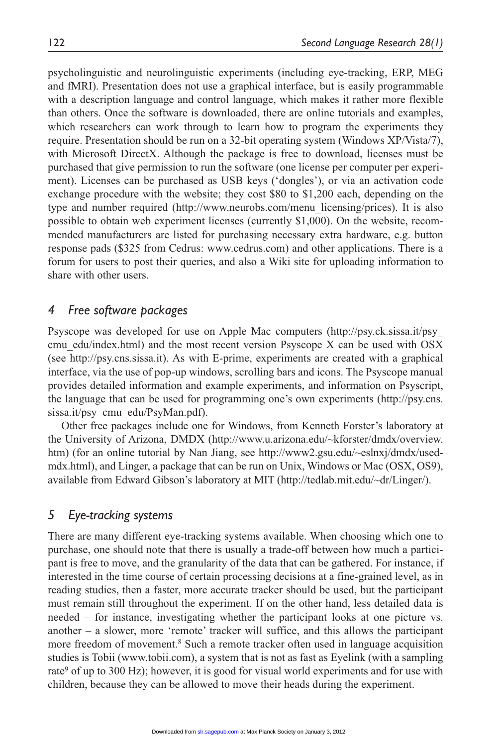psycholinguistic and neurolinguistic experiments (including eye-tracking, ERP, MEG and fMRI). Presentation does not use a graphical interface, but is easily programmable with a description language and control language, which makes it rather more flexible than others. Once the software is downloaded, there are online tutorials and examples, which researchers can work through to learn how to program the experiments they require. Presentation should be run on a 32-bit operating system (Windows XP/Vista/7), with Microsoft DirectX. Although the package is free to download, licenses must be purchased that give permission to run the software (one license per computer per experiment). Licenses can be purchased as USB keys ('dongles'), or via an activation code exchange procedure with the website; they cost \$80 to \$1,200 each, depending on the type and number required (http://www.neurobs.com/menu\_licensing/prices). It is also possible to obtain web experiment licenses (currently \$1,000). On the website, recommended manufacturers are listed for purchasing necessary extra hardware, e.g. button response pads (\$325 from Cedrus: www.cedrus.com) and other applications. There is a forum for users to post their queries, and also a Wiki site for uploading information to share with other users.

### *4 Free software packages*

Psyscope was developed for use on Apple Mac computers (http://psy.ck.sissa.it/psy\_ cmu\_edu/index.html) and the most recent version Psyscope X can be used with OSX (see http://psy.cns.sissa.it). As with E-prime, experiments are created with a graphical interface, via the use of pop-up windows, scrolling bars and icons. The Psyscope manual provides detailed information and example experiments, and information on Psyscript, the language that can be used for programming one's own experiments (http://psy.cns. sissa.it/psy\_cmu\_edu/PsyMan.pdf).

Other free packages include one for Windows, from Kenneth Forster's laboratory at the University of Arizona, DMDX (http://www.u.arizona.edu/~kforster/dmdx/overview. htm) (for an online tutorial by Nan Jiang, see http://www2.gsu.edu/~eslnxj/dmdx/usedmdx.html), and Linger, a package that can be run on Unix, Windows or Mac (OSX, OS9), available from Edward Gibson's laboratory at MIT (http://tedlab.mit.edu/~dr/Linger/).

#### *5 Eye-tracking systems*

There are many different eye-tracking systems available. When choosing which one to purchase, one should note that there is usually a trade-off between how much a participant is free to move, and the granularity of the data that can be gathered. For instance, if interested in the time course of certain processing decisions at a fine-grained level, as in reading studies, then a faster, more accurate tracker should be used, but the participant must remain still throughout the experiment. If on the other hand, less detailed data is needed – for instance, investigating whether the participant looks at one picture vs. another  $-$  a slower, more 'remote' tracker will suffice, and this allows the participant more freedom of movement.<sup>8</sup> Such a remote tracker often used in language acquisition studies is Tobii (www.tobii.com), a system that is not as fast as Eyelink (with a sampling rate<sup>9</sup> of up to 300 Hz); however, it is good for visual world experiments and for use with children, because they can be allowed to move their heads during the experiment.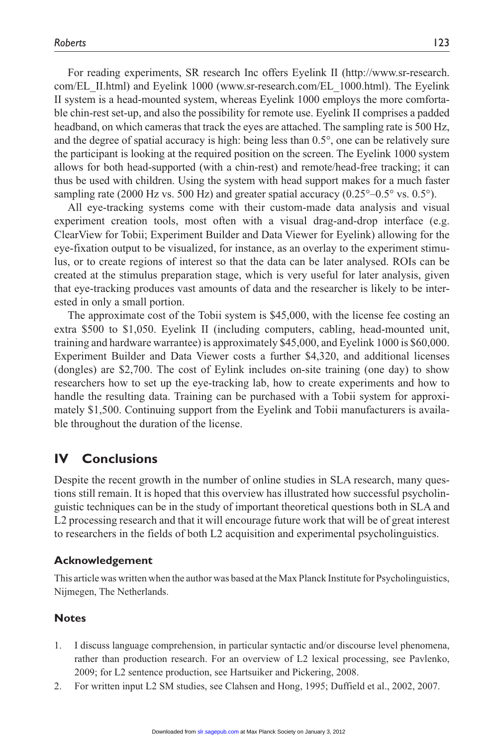For reading experiments, SR research Inc offers Eyelink II (http://www.sr-research. com/EL\_II.html) and Eyelink 1000 (www.sr-research.com/EL\_1000.html). The Eyelink II system is a head-mounted system, whereas Eyelink 1000 employs the more comfortable chin-rest set-up, and also the possibility for remote use. Eyelink II comprises a padded headband, on which cameras that track the eyes are attached. The sampling rate is 500 Hz, and the degree of spatial accuracy is high: being less than 0.5°, one can be relatively sure the participant is looking at the required position on the screen. The Eyelink 1000 system allows for both head-supported (with a chin-rest) and remote/head-free tracking; it can thus be used with children. Using the system with head support makes for a much faster sampling rate (2000 Hz vs. 500 Hz) and greater spatial accuracy (0.25 $^{\circ}$ –0.5 $^{\circ}$  vs. 0.5 $^{\circ}$ ).

All eye-tracking systems come with their custom-made data analysis and visual experiment creation tools, most often with a visual drag-and-drop interface (e.g. ClearView for Tobii; Experiment Builder and Data Viewer for Eyelink) allowing for the eye-fixation output to be visualized, for instance, as an overlay to the experiment stimulus, or to create regions of interest so that the data can be later analysed. ROIs can be created at the stimulus preparation stage, which is very useful for later analysis, given that eye-tracking produces vast amounts of data and the researcher is likely to be interested in only a small portion.

The approximate cost of the Tobii system is \$45,000, with the license fee costing an extra \$500 to \$1,050. Eyelink II (including computers, cabling, head-mounted unit, training and hardware warrantee) is approximately \$45,000, and Eyelink 1000 is \$60,000. Experiment Builder and Data Viewer costs a further \$4,320, and additional licenses (dongles) are \$2,700. The cost of Eylink includes on-site training (one day) to show researchers how to set up the eye-tracking lab, how to create experiments and how to handle the resulting data. Training can be purchased with a Tobii system for approximately \$1,500. Continuing support from the Eyelink and Tobii manufacturers is available throughout the duration of the license.

## **IV Conclusions**

Despite the recent growth in the number of online studies in SLA research, many questions still remain. It is hoped that this overview has illustrated how successful psycholinguistic techniques can be in the study of important theoretical questions both in SLA and L2 processing research and that it will encourage future work that will be of great interest to researchers in the fields of both L2 acquisition and experimental psycholinguistics.

#### **Acknowledgement**

This article was written when the author was based at the Max Planck Institute for Psycholinguistics, Nijmegen, The Netherlands.

#### **Notes**

- 1. I discuss language comprehension, in particular syntactic and/or discourse level phenomena, rather than production research. For an overview of L2 lexical processing, see Pavlenko, 2009; for L2 sentence production, see Hartsuiker and Pickering, 2008.
- 2. For written input L2 SM studies, see Clahsen and Hong, 1995; Duffield et al., 2002, 2007.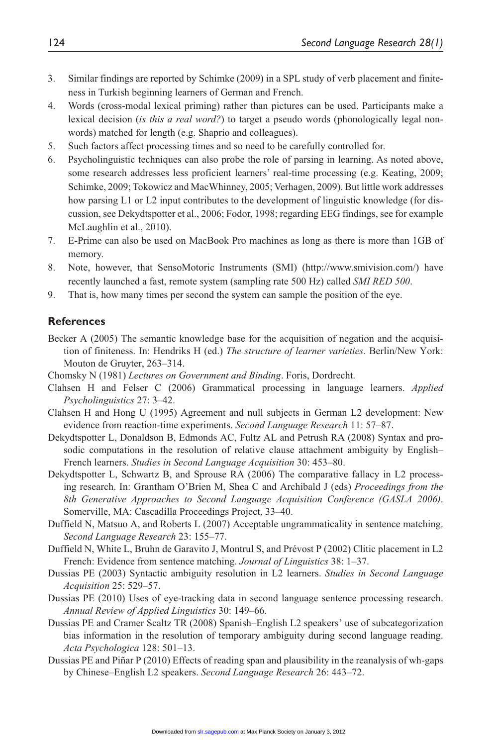- 3. Similar findings are reported by Schimke (2009) in a SPL study of verb placement and finiteness in Turkish beginning learners of German and French.
- 4. Words (cross-modal lexical priming) rather than pictures can be used. Participants make a lexical decision (*is this a real word?*) to target a pseudo words (phonologically legal nonwords) matched for length (e.g. Shaprio and colleagues).
- 5. Such factors affect processing times and so need to be carefully controlled for.
- 6. Psycholinguistic techniques can also probe the role of parsing in learning. As noted above, some research addresses less proficient learners' real-time processing (e.g. Keating, 2009; Schimke, 2009; Tokowicz and MacWhinney, 2005; Verhagen, 2009). But little work addresses how parsing L1 or L2 input contributes to the development of linguistic knowledge (for discussion, see Dekydtspotter et al., 2006; Fodor, 1998; regarding EEG findings, see for example McLaughlin et al., 2010).
- 7. E-Prime can also be used on MacBook Pro machines as long as there is more than 1GB of memory.
- 8. Note, however, that SensoMotoric Instruments (SMI) (http://www.smivision.com/) have recently launched a fast, remote system (sampling rate 500 Hz) called *SMI RED 500*.
- 9. That is, how many times per second the system can sample the position of the eye.

#### **References**

- Becker A (2005) The semantic knowledge base for the acquisition of negation and the acquisition of finiteness. In: Hendriks H (ed.) *The structure of learner varieties*. Berlin/New York: Mouton de Gruyter, 263–314.
- Chomsky N (1981) *Lectures on Government and Binding*. Foris, Dordrecht.
- Clahsen H and Felser C (2006) Grammatical processing in language learners. *Applied Psycholinguistics* 27: 3–42.
- Clahsen H and Hong U (1995) Agreement and null subjects in German L2 development: New evidence from reaction-time experiments. *Second Language Research* 11: 57–87.
- Dekydtspotter L, Donaldson B, Edmonds AC, Fultz AL and Petrush RA (2008) Syntax and prosodic computations in the resolution of relative clause attachment ambiguity by English– French learners. *Studies in Second Language Acquisition* 30: 453–80.
- Dekydtspotter L, Schwartz B, and Sprouse RA (2006) The comparative fallacy in L2 processing research. In: Grantham O'Brien M, Shea C and Archibald J (eds) *Proceedings from the 8th Generative Approaches to Second Language Acquisition Conference (GASLA 2006)*. Somerville, MA: Cascadilla Proceedings Project, 33–40.
- Duffield N, Matsuo A, and Roberts L (2007) Acceptable ungrammaticality in sentence matching. *Second Language Research* 23: 155–77.
- Duffield N, White L, Bruhn de Garavito J, Montrul S, and Prévost P (2002) Clitic placement in L2 French: Evidence from sentence matching. *Journal of Linguistics* 38: 1–37.
- Dussias PE (2003) Syntactic ambiguity resolution in L2 learners. *Studies in Second Language Acquisition* 25: 529–57.
- Dussias PE (2010) Uses of eye-tracking data in second language sentence processing research. *Annual Review of Applied Linguistics* 30: 149–66.
- Dussias PE and Cramer Scaltz TR (2008) Spanish–English L2 speakers' use of subcategorization bias information in the resolution of temporary ambiguity during second language reading. *Acta Psychologica* 128: 501–13.
- Dussias PE and Piñar P (2010) Effects of reading span and plausibility in the reanalysis of wh-gaps by Chinese–English L2 speakers. *Second Language Research* 26: 443–72.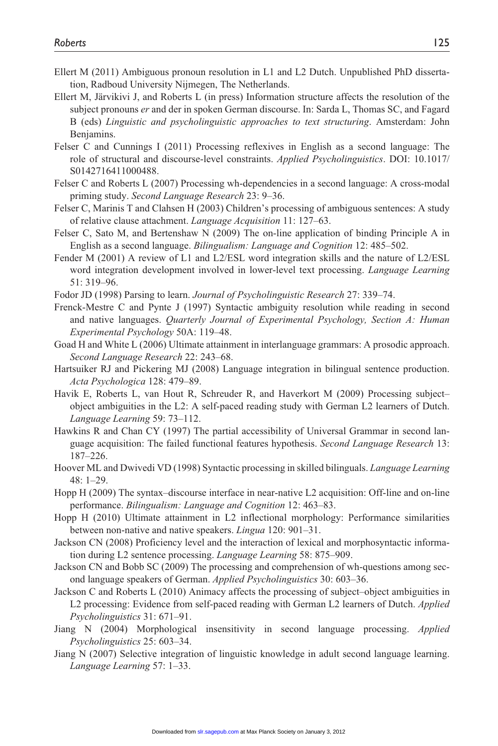- Ellert M (2011) Ambiguous pronoun resolution in L1 and L2 Dutch. Unpublished PhD dissertation, Radboud University Nijmegen, The Netherlands.
- Ellert M, Järvikivi J, and Roberts L (in press) Information structure affects the resolution of the subject pronouns *er* and der in spoken German discourse. In: Sarda L, Thomas SC, and Fagard B (eds) *Linguistic and psycholinguistic approaches to text structuring*. Amsterdam: John Benjamins.
- Felser C and Cunnings I (2011) Processing reflexives in English as a second language: The role of structural and discourse-level constraints. *Applied Psycholinguistics*. DOI: 10.1017/ S0142716411000488.
- Felser C and Roberts L (2007) Processing wh-dependencies in a second language: A cross-modal priming study. *Second Language Research* 23: 9–36.
- Felser C, Marinis T and Clahsen H (2003) Children's processing of ambiguous sentences: A study of relative clause attachment. *Language Acquisition* 11: 127–63.
- Felser C, Sato M, and Bertenshaw N (2009) The on-line application of binding Principle A in English as a second language. *Bilingualism: Language and Cognition* 12: 485–502.
- Fender M (2001) A review of L1 and L2/ESL word integration skills and the nature of L2/ESL word integration development involved in lower-level text processing. *Language Learning* 51: 319–96.
- Fodor JD (1998) Parsing to learn. *Journal of Psycholinguistic Research* 27: 339–74.
- Frenck-Mestre C and Pynte J (1997) Syntactic ambiguity resolution while reading in second and native languages. *Quarterly Journal of Experimental Psychology, Section A: Human Experimental Psychology* 50A: 119–48.
- Goad H and White L (2006) Ultimate attainment in interlanguage grammars: A prosodic approach. *Second Language Research* 22: 243–68.
- Hartsuiker RJ and Pickering MJ (2008) Language integration in bilingual sentence production. *Acta Psychologica* 128: 479–89.
- Havik E, Roberts L, van Hout R, Schreuder R, and Haverkort M (2009) Processing subject– object ambiguities in the L2: A self-paced reading study with German L2 learners of Dutch. *Language Learning* 59: 73–112.
- Hawkins R and Chan CY (1997) The partial accessibility of Universal Grammar in second language acquisition: The failed functional features hypothesis. *Second Language Research* 13: 187–226.
- Hoover ML and Dwivedi VD (1998) Syntactic processing in skilled bilinguals. *Language Learning* 48: 1–29.
- Hopp H (2009) The syntax–discourse interface in near-native L2 acquisition: Off-line and on-line performance. *Bilingualism: Language and Cognition* 12: 463–83.
- Hopp H (2010) Ultimate attainment in L2 inflectional morphology: Performance similarities between non-native and native speakers. *Lingua* 120: 901–31.
- Jackson CN (2008) Proficiency level and the interaction of lexical and morphosyntactic information during L2 sentence processing. *Language Learning* 58: 875–909.
- Jackson CN and Bobb SC (2009) The processing and comprehension of wh-questions among second language speakers of German. *Applied Psycholinguistics* 30: 603–36.
- Jackson C and Roberts L (2010) Animacy affects the processing of subject–object ambiguities in L2 processing: Evidence from self-paced reading with German L2 learners of Dutch. *Applied Psycholinguistics* 31: 671–91.
- Jiang N (2004) Morphological insensitivity in second language processing. *Applied Psycholinguistics* 25: 603–34.
- Jiang N (2007) Selective integration of linguistic knowledge in adult second language learning. *Language Learning* 57: 1–33.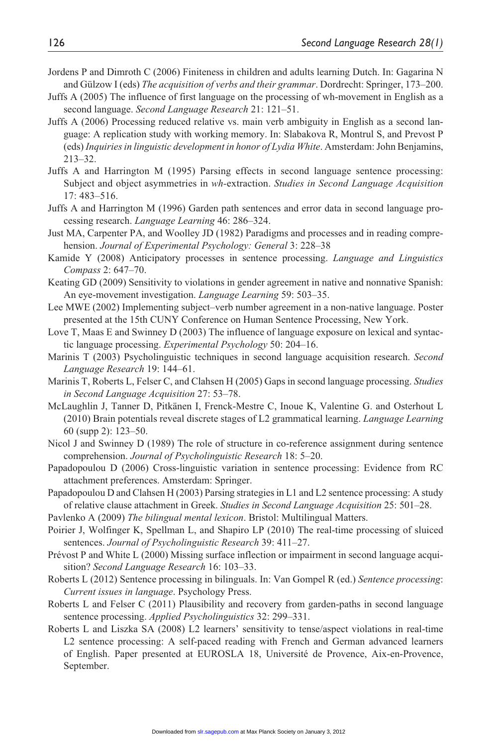- Jordens P and Dimroth C (2006) Finiteness in children and adults learning Dutch. In: Gagarina N and Gülzow I (eds) *The acquisition of verbs and their grammar*. Dordrecht: Springer, 173–200.
- Juffs A (2005) The influence of first language on the processing of wh-movement in English as a second language. *Second Language Research* 21: 121–51.
- Juffs A (2006) Processing reduced relative vs. main verb ambiguity in English as a second language: A replication study with working memory. In: Slabakova R, Montrul S, and Prevost P (eds) *Inquiries in linguistic development in honor of Lydia White*. Amsterdam: John Benjamins, 213–32.
- Juffs A and Harrington M (1995) Parsing effects in second language sentence processing: Subject and object asymmetries in *wh-*extraction. *Studies in Second Language Acquisition* 17: 483–516.
- Juffs A and Harrington M (1996) Garden path sentences and error data in second language processing research. *Language Learning* 46: 286–324.
- Just MA, Carpenter PA, and Woolley JD (1982) Paradigms and processes and in reading comprehension. *Journal of Experimental Psychology: General* 3: 228–38
- Kamide Y (2008) Anticipatory processes in sentence processing. *Language and Linguistics Compass* 2: 647–70.
- Keating GD (2009) Sensitivity to violations in gender agreement in native and nonnative Spanish: An eye-movement investigation. *Language Learning* 59: 503–35.
- Lee MWE (2002) Implementing subject–verb number agreement in a non-native language. Poster presented at the 15th CUNY Conference on Human Sentence Processing, New York.
- Love T, Maas E and Swinney D (2003) The influence of language exposure on lexical and syntactic language processing. *Experimental Psychology* 50: 204–16.
- Marinis T (2003) Psycholinguistic techniques in second language acquisition research. *Second Language Research* 19: 144–61.
- Marinis T, Roberts L, Felser C, and Clahsen H (2005) Gaps in second language processing. *Studies in Second Language Acquisition* 27: 53–78.
- McLaughlin J, Tanner D, Pitkänen I, Frenck-Mestre C, Inoue K, Valentine G. and Osterhout L (2010) Brain potentials reveal discrete stages of L2 grammatical learning. *Language Learning* 60 (supp 2): 123–50.
- Nicol J and Swinney D (1989) The role of structure in co-reference assignment during sentence comprehension. *Journal of Psycholinguistic Research* 18: 5–20.
- Papadopoulou D (2006) Cross-linguistic variation in sentence processing: Evidence from RC attachment preferences. Amsterdam: Springer.
- Papadopoulou D and Clahsen H (2003) Parsing strategies in L1 and L2 sentence processing: A study of relative clause attachment in Greek. *Studies in Second Language Acquisition* 25: 501–28.
- Pavlenko A (2009) *The bilingual mental lexicon*. Bristol: Multilingual Matters.
- Poirier J, Wolfinger K, Spellman L, and Shapiro LP (2010) The real-time processing of sluiced sentences. *Journal of Psycholinguistic Research* 39: 411–27.
- Prévost P and White L (2000) Missing surface inflection or impairment in second language acquisition? *Second Language Research* 16: 103–33.
- Roberts L (2012) Sentence processing in bilinguals. In: Van Gompel R (ed.) *Sentence processing*: *Current issues in language*. Psychology Press.
- Roberts L and Felser C (2011) Plausibility and recovery from garden-paths in second language sentence processing. *Applied Psycholinguistics* 32: 299–331.
- Roberts L and Liszka SA (2008) L2 learners' sensitivity to tense/aspect violations in real-time L2 sentence processing: A self-paced reading with French and German advanced learners of English. Paper presented at EUROSLA 18, Université de Provence, Aix-en-Provence, September.